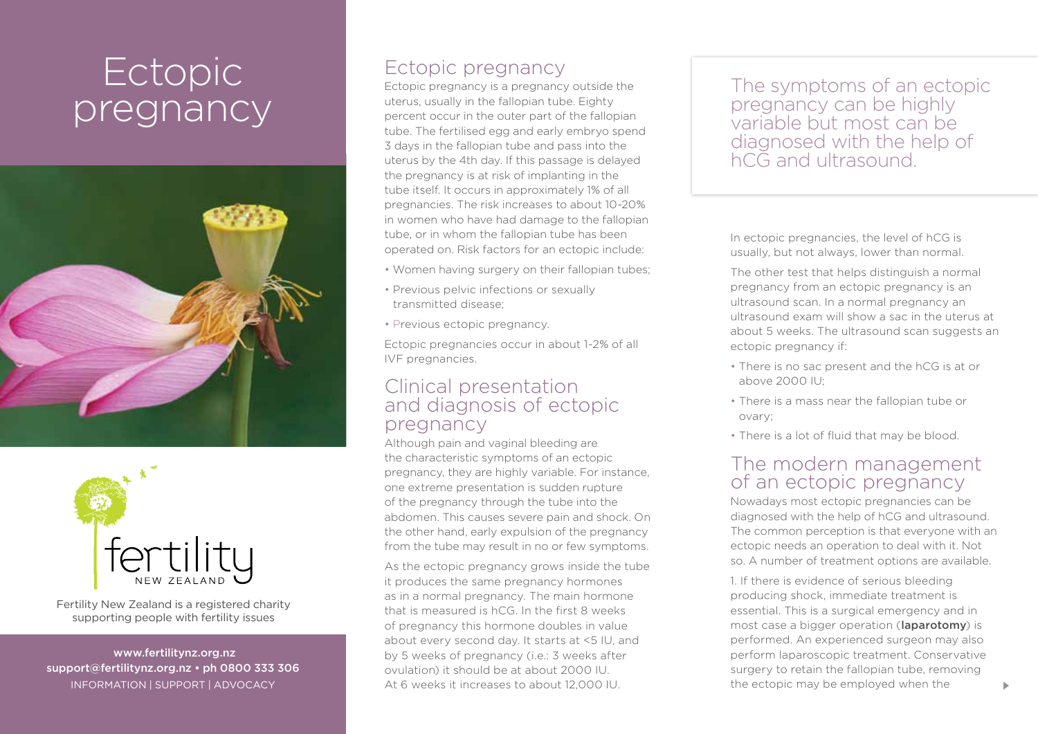# **Ectopic** pregnancy





Fertility New Zealand is a registered charity supporting people with fertility issues

 www.fertilitynz.org.nz support@fertilitynz.org.nz • ph 0800 333 306 information | support | advocacy

## Ectopic pregnancy

Ectopic pregnancy is a pregnancy outside the uterus, usually in the fallopian tube. Eighty percent occur in the outer part of the fallopian tube. The fertilised egg and early embryo spend 3 days in the fallopian tube and pass into the uterus by the 4th day. If this passage is delayed the pregnancy is at risk of implanting in the tube itself. It occurs in approximately 1% of all pregnancies. The risk increases to about 10-20% in women who have had damage to the fallopian tube, or in whom the fallopian tube has been operated on. Risk factors for an ectopic include:

- Women having surgery on their fallopian tubes;
- Previous pelvic infections or sexually transmitted disease;
- Previous ectopic pregnancy.

Ectopic pregnancies occur in about 1-2% of all IVF pregnancies.

#### Clinical presentation and diagnosis of ectopic pregnancy

Although pain and vaginal bleeding are the characteristic symptoms of an ectopic pregnancy, they are highly variable. For instance, one extreme presentation is sudden rupture of the pregnancy through the tube into the abdomen. This causes severe pain and shock. On the other hand, early expulsion of the pregnancy from the tube may result in no or few symptoms.

As the ectopic pregnancy grows inside the tube it produces the same pregnancy hormones as in a normal pregnancy. The main hormone that is measured is hCG. In the first 8 weeks of pregnancy this hormone doubles in value about every second day. It starts at <5 IU, and by 5 weeks of pregnancy (i.e.: 3 weeks after ovulation) it should be at about 2000 IU. At 6 weeks it increases to about 12,000 IU.

The symptoms of an ectopic pregnancy can be highly variable but most can be diagnosed with the help of hCG and ultrasound.

In ectopic pregnancies, the level of hCG is usually, but not always, lower than normal.

The other test that helps distinguish a normal pregnancy from an ectopic pregnancy is an ultrasound scan. In a normal pregnancy an ultrasound exam will show a sac in the uterus at about 5 weeks. The ultrasound scan suggests an ectopic pregnancy if:

- There is no sac present and the hCG is at or above 2000 IU;
- There is a mass near the fallopian tube or ovary;
- There is a lot of fluid that may be blood.

### The modern management of an ectopic pregnancy

Nowadays most ectopic pregnancies can be diagnosed with the help of hCG and ultrasound. The common perception is that everyone with an ectopic needs an operation to deal with it. Not so. A number of treatment options are available.

1. If there is evidence of serious bleeding producing shock, immediate treatment is essential. This is a surgical emergency and in most case a bigger operation (laparotomy) is performed. An experienced surgeon may also perform laparoscopic treatment. Conservative surgery to retain the fallopian tube, removing the ectopic may be employed when the